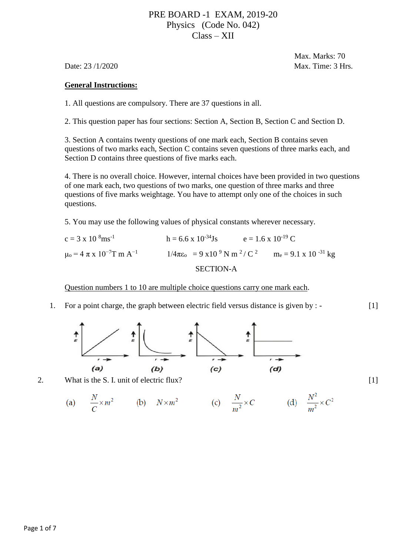# PRE BOARD -1 EXAM, 2019-20 Physics (Code No. 042) Class – XII

 Max. Marks: 70 Date: 23/1/2020 Max. Time: 3 Hrs.

## **General Instructions:**

1. All questions are compulsory. There are 37 questions in all.

2. This question paper has four sections: Section A, Section B, Section C and Section D.

3. Section A contains twenty questions of one mark each, Section B contains seven questions of two marks each, Section C contains seven questions of three marks each, and Section D contains three questions of five marks each.

4. There is no overall choice. However, internal choices have been provided in two questions of one mark each, two questions of two marks, one question of three marks and three questions of five marks weightage. You have to attempt only one of the choices in such questions.

5. You may use the following values of physical constants wherever necessary.

 $c = 3 \times 10^{8} \text{ms}^{-1}$  h = 6.6 x 10<sup>-34</sup>Js e = 1.6 x 10<sup>-19</sup> C  $\mu_0 = 4 \pi x 10^{-7} T m A^{-1}$  1/4πε<sub>o</sub> = 9 x 10<sup>9</sup> N m<sup>2</sup>/ C<sup>2</sup> m<sub>e</sub> = 9.1 x 10<sup>-31</sup> kg SECTION-A

Question numbers 1 to 10 are multiple choice questions carry one mark each.

1. For a point charge, the graph between electric field versus distance is given by : - [1]



2. What is the S. I. unit of electric flux? [1]

(a) 
$$
\frac{N}{C} \times m^2
$$
 (b)  $N \times m^2$  (c)  $\frac{N}{m^2} \times C$  (d)  $\frac{N^2}{m^2} \times C^2$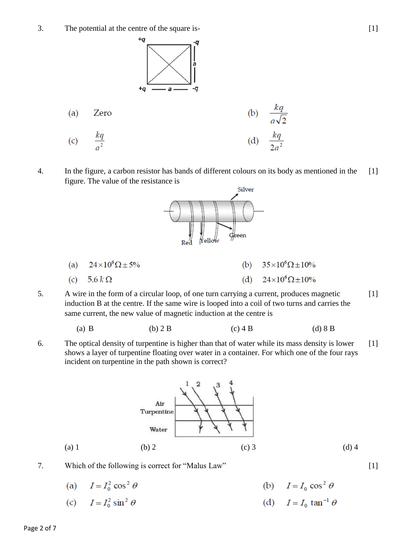3. The potential at the centre of the square is-



4. In the figure, a carbon resistor has bands of different colours on its body as mentioned in the  $[1]$ figure. The value of the resistance is Silver

Creen



5. A wire in the form of a circular loop, of one turn carrying a current, produces magnetic induction B at the centre. If the same wire is looped into a coil of two turns and carries the same current, the new value of magnetic induction at the centre is [1]

Yello

(a) B (b) 2 B (c) 4 B (d) 8 B

6. The optical density of turpentine is higher than that of water while its mass density is lower shows a layer of turpentine floating over water in a container. For which one of the four rays incident on turpentine in the path shown is correct? [1]



- 7. Which of the following is correct for "Malus Law" [1]
	- (a)  $I = I_0^2 \cos^2 \theta$ (b)  $I = I_0 \cos^2 \theta$
	- (c)  $I = I_0^2 \sin^2 \theta$ (d)  $I = I_0 \tan^{-1} \theta$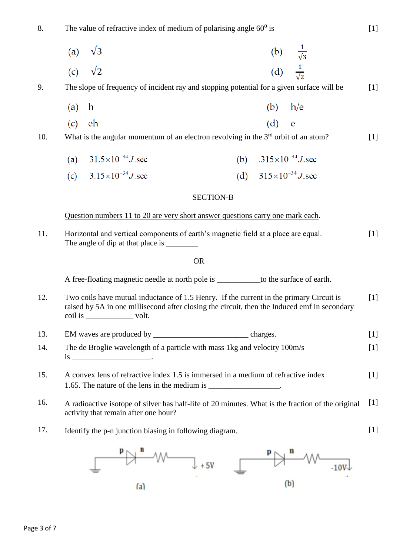8. The value of refractive index of medium of polarising angle  $60^{\circ}$  is

| (a) $\sqrt{3}$ | (b) $\frac{1}{\sqrt{3}}$ |  |
|----------------|--------------------------|--|
| (c) $\sqrt{2}$ | (d) $\frac{1}{\sqrt{2}}$ |  |

9. The slope of frequency of incident ray and stopping potential for a given surface will be [1]

- $(b)$   $h/e$  $(a)$ h
- $(d)$  $(c)$  eh e

10. What is the angular momentum of an electron revolving in the  $3<sup>rd</sup>$  orbit of an atom?

- $31.5 \times 10^{-34}$  J sec (b)  $.315 \times 10^{-34}$  J, sec  $(a)$
- (d)  $315 \times 10^{-34}$  J.sec (c)  $3.15 \times 10^{-34}$  J, sec

### SECTION-B

Question numbers 11 to 20 are very short answer questions carry one mark each.

11. Horizontal and vertical components of earth's magnetic field at a place are equal. The angle of dip at that place is  $[1]$ 

### **OR** Service Service Service Service Service Service Service Service Service Service Service Service Service Service Service Service Service Service Service Service Service Service Service Service Service Service Service S

A free-floating magnetic needle at north pole is to the surface of earth.

- 12. Two coils have mutual inductance of 1.5 Henry. If the current in the primary Circuit is raised by 5A in one millisecond after closing the circuit, then the Induced emf in secondary coil is volt.  $[1]$
- 13. EM waves are produced by \_\_\_\_\_\_\_\_\_\_\_\_\_\_\_\_\_\_\_\_\_\_\_\_ charges. [1]
- 14. The de Broglie wavelength of a particle with mass 1kg and velocity 100m/s  $is$   $\qquad \qquad$  $[1]$
- 15. A convex lens of refractive index 1.5 is immersed in a medium of refractive index 1.65. The nature of the lens in the medium is \_\_\_\_\_\_\_\_\_\_\_\_\_\_\_. [1]
- 16. A radioactive isotope of silver has half-life of 20 minutes. What is the fraction of the original activity that remain after one hour?  $[1]$
- 17. Identify the p-n junction biasing in following diagram.



[1]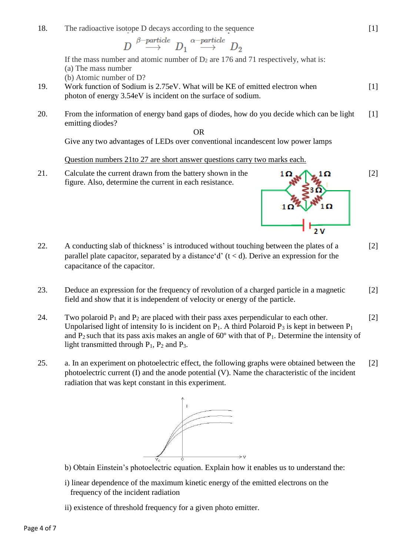18. The radioactive isotope D decays according to the sequence

 $\begin{CD} D \stackrel{\beta-particle}\longrightarrow D_1 \stackrel{\alpha-particle}\longrightarrow D_2 \end{CD}$ 

If the mass number and atomic number of  $D_2$  are 176 and 71 respectively, what is: (a) The mass number

(b) Atomic number of D?

- 19. Work function of Sodium is 2.75eV. What will be KE of emitted electron when photon of energy 3.54eV is incident on the surface of sodium.
- 20. From the information of energy band gaps of diodes, how do you decide which can be light emitting diodes? [1]

**OR** STREET IN THE STREET IS NOT THE STREET IN THE STREET IS NOT THE STREET IN THE STREET IS NOT THE STREET IN THE STREET IS NOT THE STREET IN THE STREET IS NOT THE STREET IN THE STREET IS NOT THE STREET IN THE STREET IS N

Give any two advantages of LEDs over conventional incandescent low power lamps

Question numbers 21to 27 are short answer questions carry two marks each.

21. Calculate the current drawn from the battery shown in the figure. Also, determine the current in each resistance.



- 22. A conducting slab of thickness' is introduced without touching between the plates of a parallel plate capacitor, separated by a distance  $d'(t < d)$ . Derive an expression for the capacitance of the capacitor. [2]
- 23. Deduce an expression for the frequency of revolution of a charged particle in a magnetic field and show that it is independent of velocity or energy of the particle. [2]
- 24. Two polaroid  $P_1$  and  $P_2$  are placed with their pass axes perpendicular to each other. Unpolarised light of intensity Io is incident on  $P_1$ . A third Polaroid  $P_3$  is kept in between  $P_1$ and  $P_2$  such that its pass axis makes an angle of 60 $\degree$  with that of  $P_1$ . Determine the intensity of light transmitted through  $P_1$ ,  $P_2$  and  $P_3$ . [2]
- 25. a. In an experiment on photoelectric effect, the following graphs were obtained between the photoelectric current (I) and the anode potential (V). Name the characteristic of the incident radiation that was kept constant in this experiment. [2]



- b) Obtain Einstein's photoelectric equation. Explain how it enables us to understand the:
- i) linear dependence of the maximum kinetic energy of the emitted electrons on the frequency of the incident radiation
- ii) existence of threshold frequency for a given photo emitter.

[1]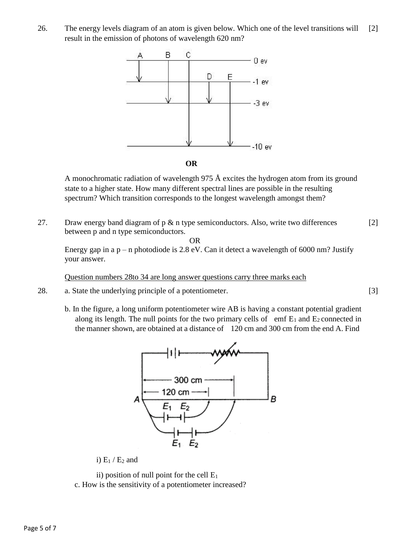26. The energy levels diagram of an atom is given below. Which one of the level transitions will result in the emission of photons of wavelength 620 nm? [2]





A monochromatic radiation of wavelength 975  $\AA$  excites the hydrogen atom from its ground state to a higher state. How many different spectral lines are possible in the resulting spectrum? Which transition corresponds to the longest wavelength amongst them?

27. Draw energy band diagram of  $p \& n$  type semiconductors. Also, write two differences between p and n type semiconductors. [2]

**OR** Service Service Service Service Service Service Service Service Service Service Service Service Service Service Service Service Service Service Service Service Service Service Service Service Service Service Service S

Energy gap in a  $p - n$  photodiode is 2.8 eV. Can it detect a wavelength of 6000 nm? Justify your answer.

Question numbers 28to 34 are long answer questions carry three marks each

- 28. a. State the underlying principle of a potentiometer.
	- b. In the figure, a long uniform potentiometer wire AB is having a constant potential gradient along its length. The null points for the two primary cells of emf  $E_1$  and  $E_2$  connected in the manner shown, are obtained at a distance of 120 cm and 300 cm from the end A. Find



i)  $E_1 / E_2$  and

ii) position of null point for the cell  $E_1$ 

c. How is the sensitivity of a potentiometer increased?

[3]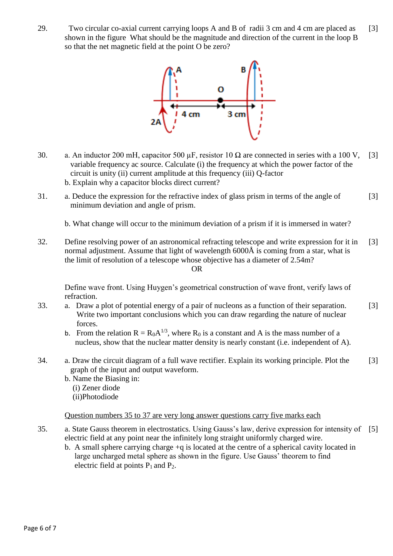29. Two circular co-axial current carrying loops A and B of radii 3 cm and 4 cm are placed as shown in the figure What should be the magnitude and direction of the current in the loop B so that the net magnetic field at the point O be zero? [3]



- 30. a. An inductor 200 mH, capacitor 500  $\mu$ F, resistor 10  $\Omega$  are connected in series with a 100 V, variable frequency ac source. Calculate (i) the frequency at which the power factor of the circuit is unity (ii) current amplitude at this frequency (iii) Q-factor b. Explain why a capacitor blocks direct current? [3]
- 31. a. Deduce the expression for the refractive index of glass prism in terms of the angle of minimum deviation and angle of prism. [3]

b. What change will occur to the minimum deviation of a prism if it is immersed in water?

32. Define resolving power of an astronomical refracting telescope and write expression for it in normal adjustment. Assume that light of wavelength 6000Å is coming from a star, what is the limit of resolution of a telescope whose objective has a diameter of 2.54m? **OR** STREET IN THE STREET IS NOT THE STREET IN THE STREET IS NOT THE STREET IN THE STREET IS NOT THE STREET IN THE STREET IS NOT THE STREET IN THE STREET IS NOT THE STREET IN THE STREET IS NOT THE STREET IN THE STREET IS N [3]

Define wave front. Using Huygen's geometrical construction of wave front, verify laws of refraction.

- 33. a. Draw a plot of potential energy of a pair of nucleons as a function of their separation. Write two important conclusions which you can draw regarding the nature of nuclear forces. [3]
	- b. From the relation  $R = R_0 A^{1/3}$ , where  $R_0$  is a constant and A is the mass number of a nucleus, show that the nuclear matter density is nearly constant (i.e. independent of A).
- 34. a. Draw the circuit diagram of a full wave rectifier. Explain its working principle. Plot the graph of the input and output waveform. [3]
	- b. Name the Biasing in:
		- (i) Zener diode
		- (ii)Photodiode

Question numbers 35 to 37 are very long answer questions carry five marks each

- 35. a. State Gauss theorem in electrostatics. Using Gauss's law, derive expression for intensity of electric field at any point near the infinitely long straight uniformly charged wire. [5]
	- b. A small sphere carrying charge +q is located at the centre of a spherical cavity located in large uncharged metal sphere as shown in the figure. Use Gauss' theorem to find electric field at points  $P_1$  and  $P_2$ .